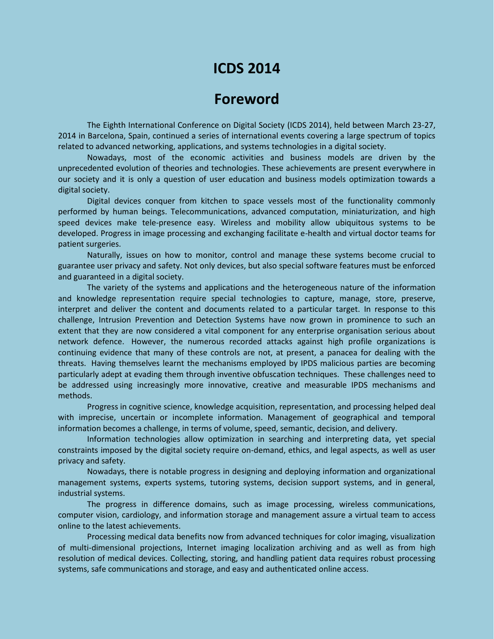## **ICDS 2014**

## **Foreword**

The Eighth International Conference on Digital Society (ICDS 2014), held between March 23-27, 2014 in Barcelona, Spain, continued a series of international events covering a large spectrum of topics related to advanced networking, applications, and systems technologies in a digital society.

Nowadays, most of the economic activities and business models are driven by the unprecedented evolution of theories and technologies. These achievements are present everywhere in our society and it is only a question of user education and business models optimization towards a digital society.

Digital devices conquer from kitchen to space vessels most of the functionality commonly performed by human beings. Telecommunications, advanced computation, miniaturization, and high speed devices make tele-presence easy. Wireless and mobility allow ubiquitous systems to be developed. Progress in image processing and exchanging facilitate e-health and virtual doctor teams for patient surgeries.

Naturally, issues on how to monitor, control and manage these systems become crucial to guarantee user privacy and safety. Not only devices, but also special software features must be enforced and guaranteed in a digital society.

The variety of the systems and applications and the heterogeneous nature of the information and knowledge representation require special technologies to capture, manage, store, preserve, interpret and deliver the content and documents related to a particular target. In response to this challenge, Intrusion Prevention and Detection Systems have now grown in prominence to such an extent that they are now considered a vital component for any enterprise organisation serious about network defence. However, the numerous recorded attacks against high profile organizations is continuing evidence that many of these controls are not, at present, a panacea for dealing with the threats. Having themselves learnt the mechanisms employed by IPDS malicious parties are becoming particularly adept at evading them through inventive obfuscation techniques. These challenges need to be addressed using increasingly more innovative, creative and measurable IPDS mechanisms and methods.

Progress in cognitive science, knowledge acquisition, representation, and processing helped deal with imprecise, uncertain or incomplete information. Management of geographical and temporal information becomes a challenge, in terms of volume, speed, semantic, decision, and delivery.

Information technologies allow optimization in searching and interpreting data, yet special constraints imposed by the digital society require on-demand, ethics, and legal aspects, as well as user privacy and safety.

Nowadays, there is notable progress in designing and deploying information and organizational management systems, experts systems, tutoring systems, decision support systems, and in general, industrial systems.

The progress in difference domains, such as image processing, wireless communications, computer vision, cardiology, and information storage and management assure a virtual team to access online to the latest achievements.

Processing medical data benefits now from advanced techniques for color imaging, visualization of multi-dimensional projections, Internet imaging localization archiving and as well as from high resolution of medical devices. Collecting, storing, and handling patient data requires robust processing systems, safe communications and storage, and easy and authenticated online access.